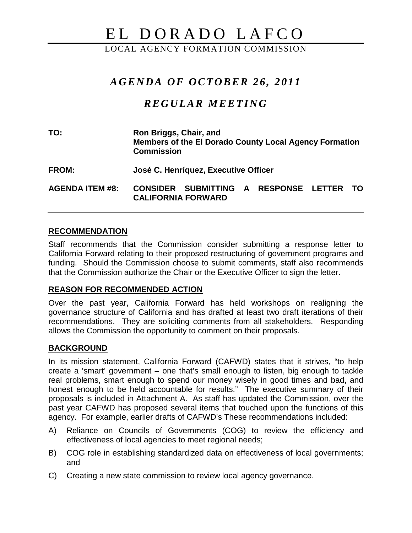# EL DORADO LAFCO

LOCAL AGENCY FORMATION COMMISSION

# *AGENDA OF OCTOBER 26 , 2011*

# *REGULAR MEETING*

**TO: Ron Briggs, Chair, and Members of the El Dorado County Local Agency Formation Commission**

**FROM: José C. Henríquez, Executive Officer**

**AGENDA ITEM #8: CONSIDER SUBMITTING A RESPONSE LETTER TO CALIFORNIA FORWARD**

#### **RECOMMENDATION**

Staff recommends that the Commission consider submitting a response letter to California Forward relating to their proposed restructuring of government programs and funding. Should the Commission choose to submit comments, staff also recommends that the Commission authorize the Chair or the Executive Officer to sign the letter.

#### **REASON FOR RECOMMENDED ACTION**

Over the past year, California Forward has held workshops on realigning the governance structure of California and has drafted at least two draft iterations of their recommendations. They are soliciting comments from all stakeholders. Responding allows the Commission the opportunity to comment on their proposals.

## **BACKGROUND**

In its mission statement, California Forward (CAFWD) states that it strives, "to help create a 'smart' government – one that's small enough to listen, big enough to tackle real problems, smart enough to spend our money wisely in good times and bad, and honest enough to be held accountable for results." The executive summary of their proposals is included in Attachment A. As staff has updated the Commission, over the past year CAFWD has proposed several items that touched upon the functions of this agency. For example, earlier drafts of CAFWD's These recommendations included:

- A) Reliance on Councils of Governments (COG) to review the efficiency and effectiveness of local agencies to meet regional needs;
- B) COG role in establishing standardized data on effectiveness of local governments; and
- C) Creating a new state commission to review local agency governance.